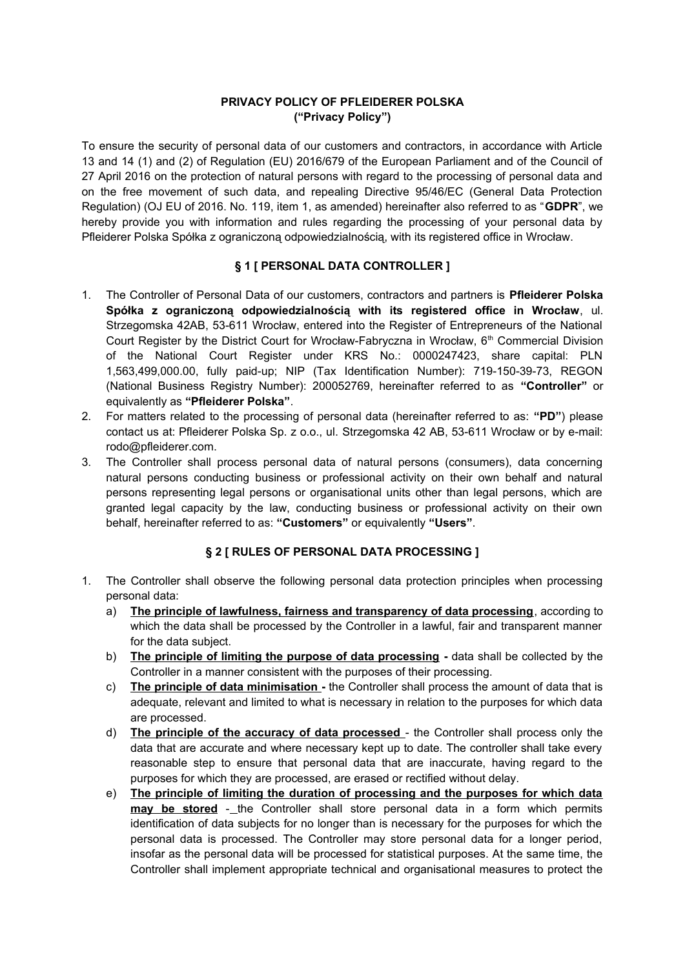## **PRIVACY POLICY OF PFLEIDERER POLSKA ("Privacy Policy")**

To ensure the security of personal data of our customers and contractors, in accordance with Article 13 and 14 (1) and (2) of Regulation (EU) 2016/679 of the European Parliament and of the Council of 27 April 2016 on the protection of natural persons with regard to the processing of personal data and on the free movement of such data, and repealing Directive 95/46/EC (General Data Protection Regulation) (OJ EU of 2016. No. 119, item 1, as amended) hereinafter also referred to as "**GDPR**", we hereby provide you with information and rules regarding the processing of your personal data by Pfleiderer Polska Spółka z ograniczoną odpowiedzialnością, with its registered office in Wrocław.

#### **§ 1 [ PERSONAL DATA CONTROLLER ]**

- 1. The Controller of Personal Data of our customers, contractors and partners is **Pfleiderer Polska Spółka z ograniczoną odpowiedzialnością with its registered office in Wrocław**, ul. Strzegomska 42AB, 53-611 Wrocław, entered into the Register of Entrepreneurs of the National Court Register by the District Court for Wrocław-Fabryczna in Wrocław, 6<sup>th</sup> Commercial Division of the National Court Register under KRS No.: 0000247423, share capital: PLN 1,563,499,000.00, fully paid-up; NIP (Tax Identification Number): 719-150-39-73, REGON (National Business Registry Number): 200052769, hereinafter referred to as **"Controller"** or equivalently as **"Pfleiderer Polska"**.
- 2. For matters related to the processing of personal data (hereinafter referred to as: **"PD"**) please contact us at: Pfleiderer Polska Sp. z o.o., ul. Strzegomska 42 AB, 53-611 Wrocław or by e-mail: rodo@pfleiderer.com.
- 3. The Controller shall process personal data of natural persons (consumers), data concerning natural persons conducting business or professional activity on their own behalf and natural persons representing legal persons or organisational units other than legal persons, which are granted legal capacity by the law, conducting business or professional activity on their own behalf, hereinafter referred to as: **"Customers"** or equivalently **"Users"**.

#### **§ 2 [ RULES OF PERSONAL DATA PROCESSING ]**

- 1. The Controller shall observe the following personal data protection principles when processing personal data:
	- a) **The principle of lawfulness, fairness and transparency of data processing**, according to which the data shall be processed by the Controller in a lawful, fair and transparent manner for the data subject.
	- b) **The principle of limiting the purpose of data processing** data shall be collected by the Controller in a manner consistent with the purposes of their processing.
	- c) **The principle of data minimisation** the Controller shall process the amount of data that is adequate, relevant and limited to what is necessary in relation to the purposes for which data are processed.
	- d) **The principle of the accuracy of data processed**  the Controller shall process only the data that are accurate and where necessary kept up to date. The controller shall take every reasonable step to ensure that personal data that are inaccurate, having regard to the purposes for which they are processed, are erased or rectified without delay.
	- e) **The principle of limiting the duration of processing and the purposes for which data** may be stored -\_the Controller shall store personal data in a form which permits identification of data subjects for no longer than is necessary for the purposes for which the personal data is processed. The Controller may store personal data for a longer period, insofar as the personal data will be processed for statistical purposes. At the same time, the Controller shall implement appropriate technical and organisational measures to protect the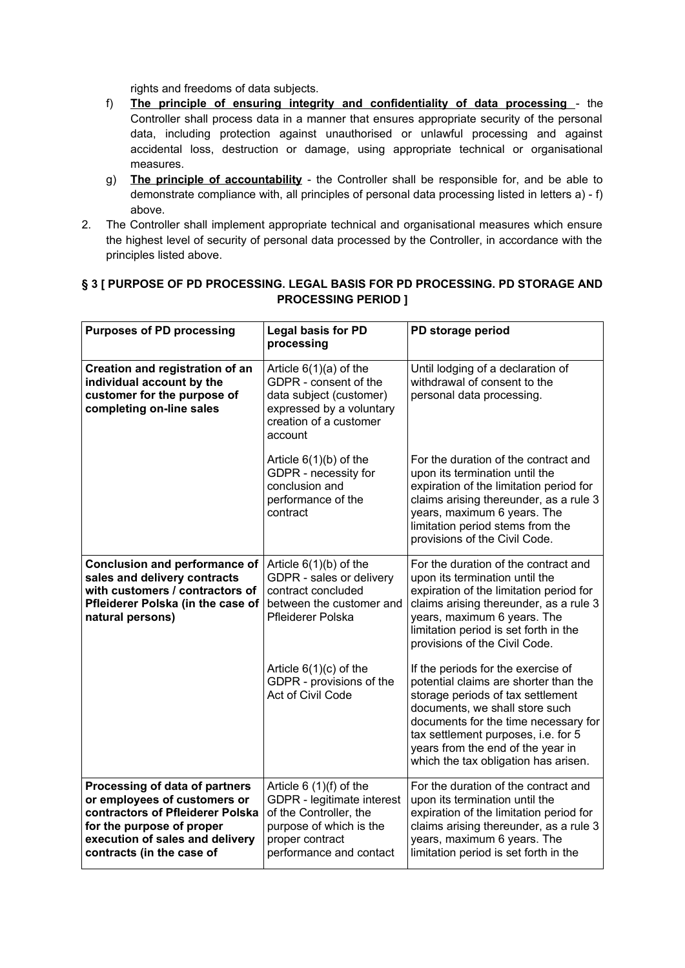rights and freedoms of data subjects.

- f) **The principle of ensuring integrity and confidentiality of data processing**  the Controller shall process data in a manner that ensures appropriate security of the personal data, including protection against unauthorised or unlawful processing and against accidental loss, destruction or damage, using appropriate technical or organisational measures.
- g) **The principle of accountability** the Controller shall be responsible for, and be able to demonstrate compliance with, all principles of personal data processing listed in letters a) - f) above.
- 2. The Controller shall implement appropriate technical and organisational measures which ensure the highest level of security of personal data processed by the Controller, in accordance with the principles listed above.

| <b>Purposes of PD processing</b>                                                                                                                                                                | <b>Legal basis for PD</b><br>processing                                                                                                                   | PD storage period                                                                                                                                                                                                                                                                                              |
|-------------------------------------------------------------------------------------------------------------------------------------------------------------------------------------------------|-----------------------------------------------------------------------------------------------------------------------------------------------------------|----------------------------------------------------------------------------------------------------------------------------------------------------------------------------------------------------------------------------------------------------------------------------------------------------------------|
| Creation and registration of an<br>individual account by the<br>customer for the purpose of<br>completing on-line sales                                                                         | Article $6(1)(a)$ of the<br>GDPR - consent of the<br>data subject (customer)<br>expressed by a voluntary<br>creation of a customer<br>account             | Until lodging of a declaration of<br>withdrawal of consent to the<br>personal data processing.                                                                                                                                                                                                                 |
|                                                                                                                                                                                                 | Article $6(1)(b)$ of the<br>GDPR - necessity for<br>conclusion and<br>performance of the<br>contract                                                      | For the duration of the contract and<br>upon its termination until the<br>expiration of the limitation period for<br>claims arising thereunder, as a rule 3<br>years, maximum 6 years. The<br>limitation period stems from the<br>provisions of the Civil Code.                                                |
| <b>Conclusion and performance of</b><br>sales and delivery contracts<br>with customers / contractors of<br>Pfleiderer Polska (in the case of<br>natural persons)                                | Article $6(1)(b)$ of the<br>GDPR - sales or delivery<br>contract concluded<br>between the customer and<br>Pfleiderer Polska                               | For the duration of the contract and<br>upon its termination until the<br>expiration of the limitation period for<br>claims arising thereunder, as a rule 3<br>years, maximum 6 years. The<br>limitation period is set forth in the<br>provisions of the Civil Code.                                           |
|                                                                                                                                                                                                 | Article $6(1)(c)$ of the<br>GDPR - provisions of the<br>Act of Civil Code                                                                                 | If the periods for the exercise of<br>potential claims are shorter than the<br>storage periods of tax settlement<br>documents, we shall store such<br>documents for the time necessary for<br>tax settlement purposes, i.e. for 5<br>years from the end of the year in<br>which the tax obligation has arisen. |
| Processing of data of partners<br>or employees of customers or<br>contractors of Pfleiderer Polska<br>for the purpose of proper<br>execution of sales and delivery<br>contracts (in the case of | Article $6(1)(f)$ of the<br>GDPR - legitimate interest<br>of the Controller, the<br>purpose of which is the<br>proper contract<br>performance and contact | For the duration of the contract and<br>upon its termination until the<br>expiration of the limitation period for<br>claims arising thereunder, as a rule 3<br>years, maximum 6 years. The<br>limitation period is set forth in the                                                                            |

### **§ 3 [ PURPOSE OF PD PROCESSING. LEGAL BASIS FOR PD PROCESSING. PD STORAGE AND PROCESSING PERIOD ]**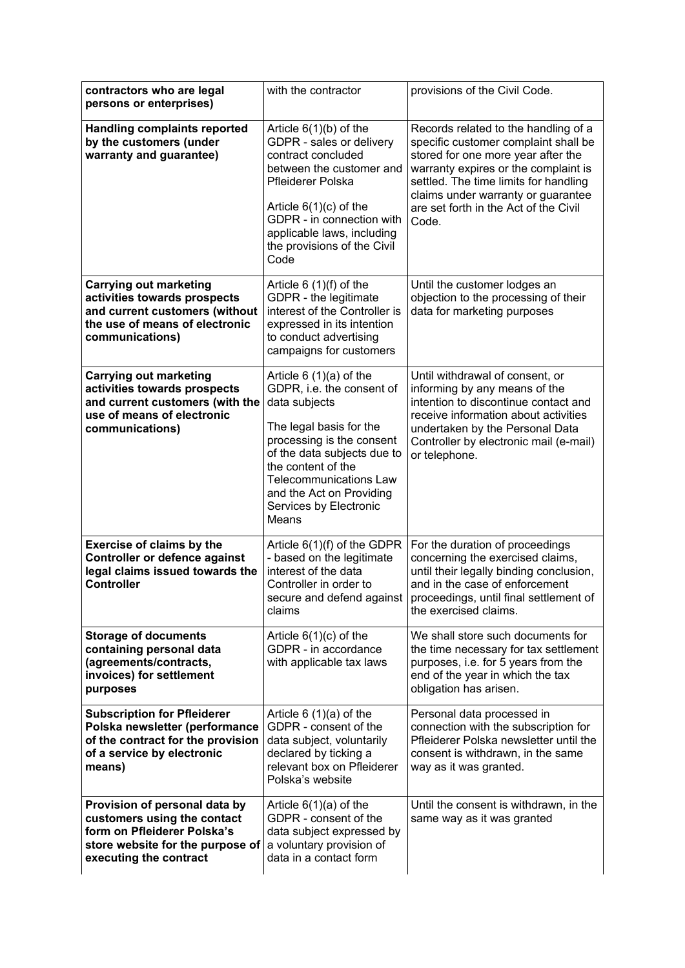| contractors who are legal<br>persons or enterprises)                                                                                                      | with the contractor                                                                                                                                                                                                                                                                 | provisions of the Civil Code.                                                                                                                                                                                                                                                               |
|-----------------------------------------------------------------------------------------------------------------------------------------------------------|-------------------------------------------------------------------------------------------------------------------------------------------------------------------------------------------------------------------------------------------------------------------------------------|---------------------------------------------------------------------------------------------------------------------------------------------------------------------------------------------------------------------------------------------------------------------------------------------|
| <b>Handling complaints reported</b><br>by the customers (under<br>warranty and guarantee)                                                                 | Article $6(1)(b)$ of the<br>GDPR - sales or delivery<br>contract concluded<br>between the customer and<br><b>Pfleiderer Polska</b><br>Article $6(1)(c)$ of the<br>GDPR - in connection with<br>applicable laws, including<br>the provisions of the Civil<br>Code                    | Records related to the handling of a<br>specific customer complaint shall be<br>stored for one more year after the<br>warranty expires or the complaint is<br>settled. The time limits for handling<br>claims under warranty or guarantee<br>are set forth in the Act of the Civil<br>Code. |
| <b>Carrying out marketing</b><br>activities towards prospects<br>and current customers (without<br>the use of means of electronic<br>communications)      | Article $6(1)(f)$ of the<br>GDPR - the legitimate<br>interest of the Controller is<br>expressed in its intention<br>to conduct advertising<br>campaigns for customers                                                                                                               | Until the customer lodges an<br>objection to the processing of their<br>data for marketing purposes                                                                                                                                                                                         |
| <b>Carrying out marketing</b><br>activities towards prospects<br>and current customers (with the<br>use of means of electronic<br>communications)         | Article $6(1)(a)$ of the<br>GDPR, i.e. the consent of<br>data subjects<br>The legal basis for the<br>processing is the consent<br>of the data subjects due to<br>the content of the<br><b>Telecommunications Law</b><br>and the Act on Providing<br>Services by Electronic<br>Means | Until withdrawal of consent, or<br>informing by any means of the<br>intention to discontinue contact and<br>receive information about activities<br>undertaken by the Personal Data<br>Controller by electronic mail (e-mail)<br>or telephone.                                              |
| <b>Exercise of claims by the</b><br><b>Controller or defence against</b><br>legal claims issued towards the<br><b>Controller</b>                          | Article 6(1)(f) of the GDPR<br>- based on the legitimate<br>interest of the data<br>Controller in order to<br>claims                                                                                                                                                                | For the duration of proceedings<br>concerning the exercised claims,<br>until their legally binding conclusion,<br>and in the case of enforcement<br>secure and defend against   proceedings, until final settlement of<br>the exercised claims.                                             |
| <b>Storage of documents</b><br>containing personal data<br>(agreements/contracts,<br>invoices) for settlement<br>purposes                                 | Article $6(1)(c)$ of the<br>GDPR - in accordance<br>with applicable tax laws                                                                                                                                                                                                        | We shall store such documents for<br>the time necessary for tax settlement<br>purposes, i.e. for 5 years from the<br>end of the year in which the tax<br>obligation has arisen.                                                                                                             |
| <b>Subscription for Pfleiderer</b><br>Polska newsletter (performance<br>of the contract for the provision<br>of a service by electronic<br>means)         | Article $6(1)(a)$ of the<br>GDPR - consent of the<br>data subject, voluntarily<br>declared by ticking a<br>relevant box on Pfleiderer<br>Polska's website                                                                                                                           | Personal data processed in<br>connection with the subscription for<br>Pfleiderer Polska newsletter until the<br>consent is withdrawn, in the same<br>way as it was granted.                                                                                                                 |
| Provision of personal data by<br>customers using the contact<br>form on Pfleiderer Polska's<br>store website for the purpose of<br>executing the contract | Article $6(1)(a)$ of the<br>GDPR - consent of the<br>data subject expressed by<br>a voluntary provision of<br>data in a contact form                                                                                                                                                | Until the consent is withdrawn, in the<br>same way as it was granted                                                                                                                                                                                                                        |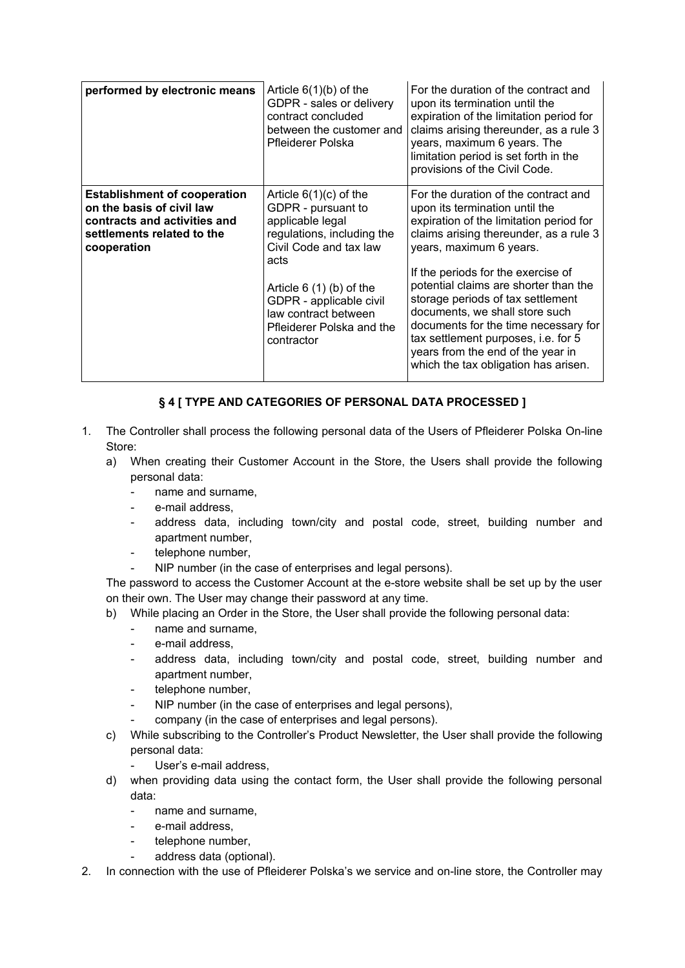| performed by electronic means                                                                                                                 | Article $6(1)(b)$ of the<br>GDPR - sales or delivery<br>contract concluded<br>between the customer and<br>Pfleiderer Polska                                                                                                                                  | For the duration of the contract and<br>upon its termination until the<br>expiration of the limitation period for<br>claims arising thereunder, as a rule 3<br>years, maximum 6 years. The<br>limitation period is set forth in the<br>provisions of the Civil Code.                                                                                                                                                                                                                                     |
|-----------------------------------------------------------------------------------------------------------------------------------------------|--------------------------------------------------------------------------------------------------------------------------------------------------------------------------------------------------------------------------------------------------------------|----------------------------------------------------------------------------------------------------------------------------------------------------------------------------------------------------------------------------------------------------------------------------------------------------------------------------------------------------------------------------------------------------------------------------------------------------------------------------------------------------------|
| <b>Establishment of cooperation</b><br>on the basis of civil law<br>contracts and activities and<br>settlements related to the<br>cooperation | Article $6(1)(c)$ of the<br>GDPR - pursuant to<br>applicable legal<br>regulations, including the<br>Civil Code and tax law<br>acts<br>Article $6(1)(b)$ of the<br>GDPR - applicable civil<br>law contract between<br>Pfleiderer Polska and the<br>contractor | For the duration of the contract and<br>upon its termination until the<br>expiration of the limitation period for<br>claims arising thereunder, as a rule 3<br>years, maximum 6 years.<br>If the periods for the exercise of<br>potential claims are shorter than the<br>storage periods of tax settlement<br>documents, we shall store such<br>documents for the time necessary for<br>tax settlement purposes, i.e. for 5<br>years from the end of the year in<br>which the tax obligation has arisen. |

## **§ 4 [ TYPE AND CATEGORIES OF PERSONAL DATA PROCESSED ]**

- 1. The Controller shall process the following personal data of the Users of Pfleiderer Polska On-line Store:
	- a) When creating their Customer Account in the Store, the Users shall provide the following personal data:
		- name and surname,
		- e-mail address,
		- address data, including town/city and postal code, street, building number and apartment number,
		- telephone number,
		- NIP number (in the case of enterprises and legal persons).

The password to access the Customer Account at the e-store website shall be set up by the user on their own. The User may change their password at any time.

- b) While placing an Order in the Store, the User shall provide the following personal data:
	- name and surname,
	- e-mail address,
	- address data, including town/city and postal code, street, building number and apartment number,
	- telephone number,
	- NIP number (in the case of enterprises and legal persons),
	- company (in the case of enterprises and legal persons).
- c) While subscribing to the Controller's Product Newsletter, the User shall provide the following personal data:
	- User's e-mail address,
- d) when providing data using the contact form, the User shall provide the following personal data:
	- name and surname,
	- e-mail address.
	- telephone number,
	- address data (optional).
- 2. In connection with the use of Pfleiderer Polska's we service and on-line store, the Controller may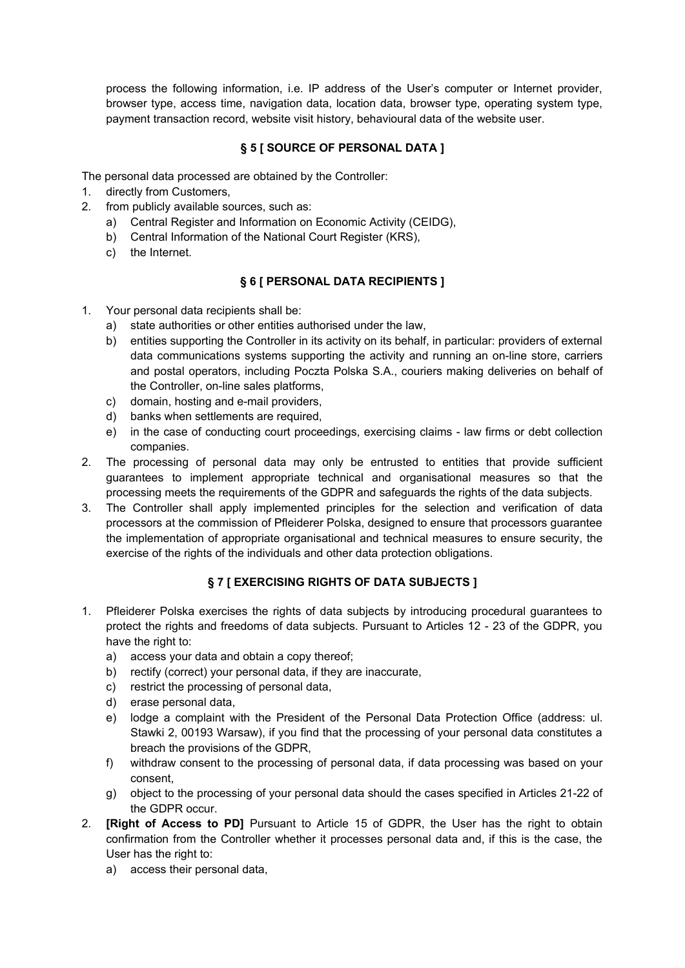process the following information, i.e. IP address of the User's computer or Internet provider, browser type, access time, navigation data, location data, browser type, operating system type, payment transaction record, website visit history, behavioural data of the website user.

## **§ 5 [ SOURCE OF PERSONAL DATA ]**

The personal data processed are obtained by the Controller:

- 1. directly from Customers,
- 2. from publicly available sources, such as:
	- a) Central Register and Information on Economic Activity (CEIDG),
	- b) Central Information of the National Court Register (KRS),
	- c) the Internet.

### **§ 6 [ PERSONAL DATA RECIPIENTS ]**

- 1. Your personal data recipients shall be:
	- a) state authorities or other entities authorised under the law,
	- b) entities supporting the Controller in its activity on its behalf, in particular: providers of external data communications systems supporting the activity and running an on-line store, carriers and postal operators, including Poczta Polska S.A., couriers making deliveries on behalf of the Controller, on-line sales platforms,
	- c) domain, hosting and e-mail providers,
	- d) banks when settlements are required,
	- e) in the case of conducting court proceedings, exercising claims law firms or debt collection companies.
- 2. The processing of personal data may only be entrusted to entities that provide sufficient guarantees to implement appropriate technical and organisational measures so that the processing meets the requirements of the GDPR and safeguards the rights of the data subjects.
- 3. The Controller shall apply implemented principles for the selection and verification of data processors at the commission of Pfleiderer Polska, designed to ensure that processors guarantee the implementation of appropriate organisational and technical measures to ensure security, the exercise of the rights of the individuals and other data protection obligations.

### **§ 7 [ EXERCISING RIGHTS OF DATA SUBJECTS ]**

- 1. Pfleiderer Polska exercises the rights of data subjects by introducing procedural guarantees to protect the rights and freedoms of data subjects. Pursuant to Articles 12 - 23 of the GDPR, you have the right to:
	- a) access your data and obtain a copy thereof;
	- b) rectify (correct) your personal data, if they are inaccurate,
	- c) restrict the processing of personal data,
	- d) erase personal data,
	- e) lodge a complaint with the President of the Personal Data Protection Office (address: ul. Stawki 2, 00193 Warsaw), if you find that the processing of your personal data constitutes a breach the provisions of the GDPR,
	- f) withdraw consent to the processing of personal data, if data processing was based on your consent,
	- g) object to the processing of your personal data should the cases specified in Articles 21-22 of the GDPR occur.
- 2. **[Right of Access to PD]** Pursuant to Article 15 of GDPR, the User has the right to obtain confirmation from the Controller whether it processes personal data and, if this is the case, the User has the right to:
	- a) access their personal data,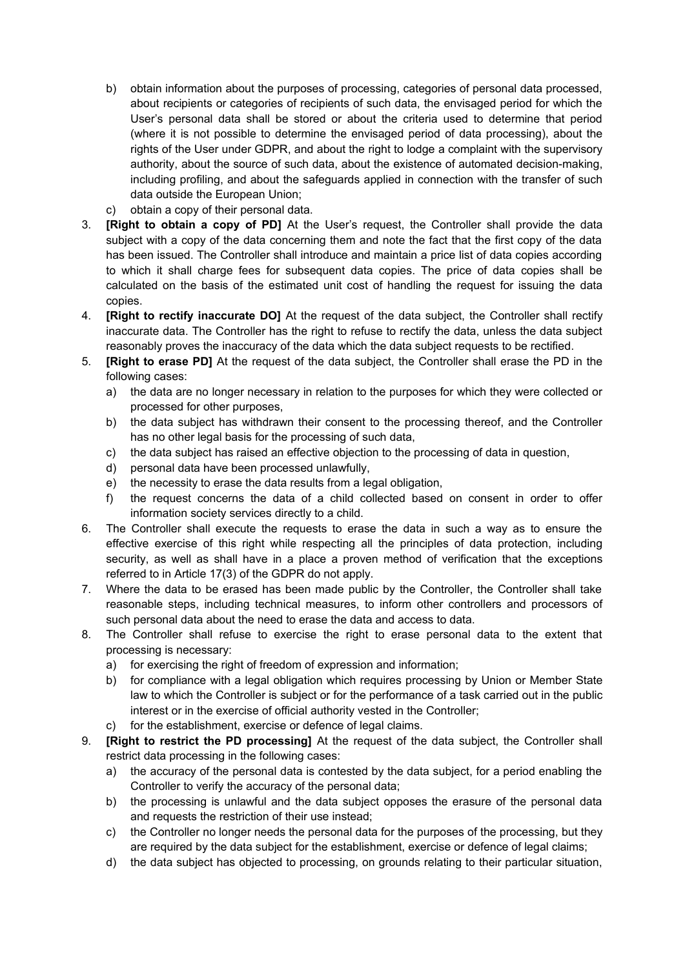- b) obtain information about the purposes of processing, categories of personal data processed, about recipients or categories of recipients of such data, the envisaged period for which the User's personal data shall be stored or about the criteria used to determine that period (where it is not possible to determine the envisaged period of data processing), about the rights of the User under GDPR, and about the right to lodge a complaint with the supervisory authority, about the source of such data, about the existence of automated decision-making, including profiling, and about the safeguards applied in connection with the transfer of such data outside the European Union;
- c) obtain a copy of their personal data.
- 3. **[Right to obtain a copy of PD]** At the User's request, the Controller shall provide the data subject with a copy of the data concerning them and note the fact that the first copy of the data has been issued. The Controller shall introduce and maintain a price list of data copies according to which it shall charge fees for subsequent data copies. The price of data copies shall be calculated on the basis of the estimated unit cost of handling the request for issuing the data copies.
- 4. **[Right to rectify inaccurate DO]** At the request of the data subject, the Controller shall rectify inaccurate data. The Controller has the right to refuse to rectify the data, unless the data subject reasonably proves the inaccuracy of the data which the data subject requests to be rectified.
- 5. **[Right to erase PD]** At the request of the data subject, the Controller shall erase the PD in the following cases:
	- a) the data are no longer necessary in relation to the purposes for which they were collected or processed for other purposes,
	- b) the data subject has withdrawn their consent to the processing thereof, and the Controller has no other legal basis for the processing of such data,
	- c) the data subject has raised an effective objection to the processing of data in question,
	- d) personal data have been processed unlawfully,
	- e) the necessity to erase the data results from a legal obligation,
	- f) the request concerns the data of a child collected based on consent in order to offer information society services directly to a child.
- 6. The Controller shall execute the requests to erase the data in such a way as to ensure the effective exercise of this right while respecting all the principles of data protection, including security, as well as shall have in a place a proven method of verification that the exceptions referred to in Article 17(3) of the GDPR do not apply.
- 7. Where the data to be erased has been made public by the Controller, the Controller shall take reasonable steps, including technical measures, to inform other controllers and processors of such personal data about the need to erase the data and access to data.
- 8. The Controller shall refuse to exercise the right to erase personal data to the extent that processing is necessary:
	- a) for exercising the right of freedom of expression and information;
	- b) for compliance with a legal obligation which requires processing by Union or Member State law to which the Controller is subject or for the performance of a task carried out in the public interest or in the exercise of official authority vested in the Controller;
	- c) for the establishment, exercise or defence of legal claims.
- 9. **[Right to restrict the PD processing]** At the request of the data subject, the Controller shall restrict data processing in the following cases:
	- a) the accuracy of the personal data is contested by the data subject, for a period enabling the Controller to verify the accuracy of the personal data;
	- b) the processing is unlawful and the data subject opposes the erasure of the personal data and requests the restriction of their use instead;
	- c) the Controller no longer needs the personal data for the purposes of the processing, but they are required by the data subject for the establishment, exercise or defence of legal claims;
	- d) the data subject has objected to processing, on grounds relating to their particular situation,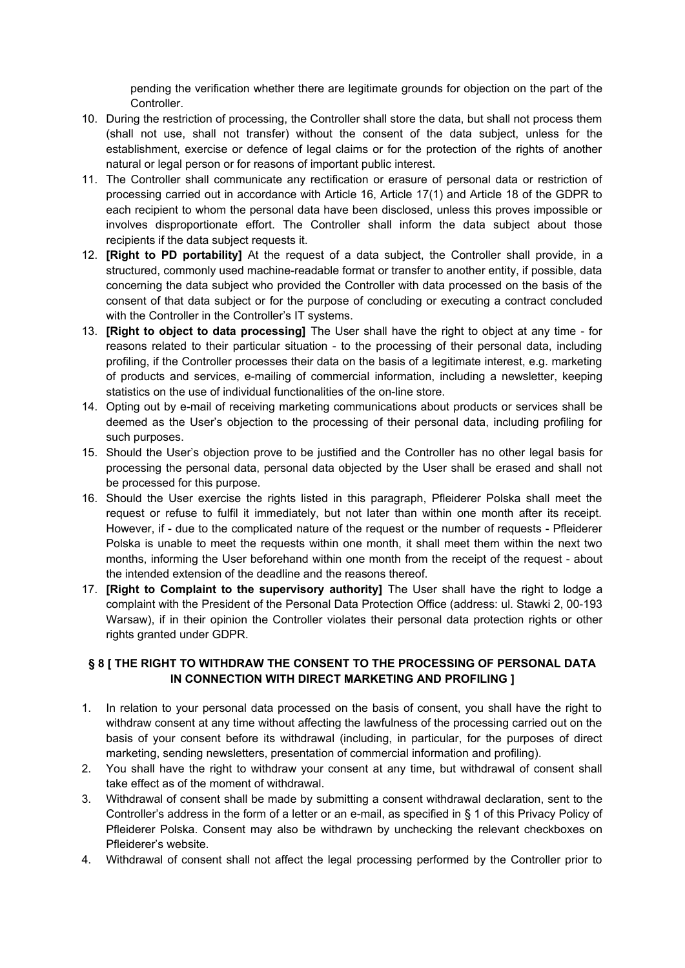pending the verification whether there are legitimate grounds for objection on the part of the Controller.

- 10. During the restriction of processing, the Controller shall store the data, but shall not process them (shall not use, shall not transfer) without the consent of the data subject, unless for the establishment, exercise or defence of legal claims or for the protection of the rights of another natural or legal person or for reasons of important public interest.
- 11. The Controller shall communicate any rectification or erasure of personal data or restriction of processing carried out in accordance with Article 16, Article 17(1) and Article 18 of the GDPR to each recipient to whom the personal data have been disclosed, unless this proves impossible or involves disproportionate effort. The Controller shall inform the data subject about those recipients if the data subject requests it.
- 12. **[Right to PD portability]** At the request of a data subject, the Controller shall provide, in a structured, commonly used machine-readable format or transfer to another entity, if possible, data concerning the data subject who provided the Controller with data processed on the basis of the consent of that data subject or for the purpose of concluding or executing a contract concluded with the Controller in the Controller's IT systems.
- 13. **[Right to object to data processing]** The User shall have the right to object at any time for reasons related to their particular situation - to the processing of their personal data, including profiling, if the Controller processes their data on the basis of a legitimate interest, e.g. marketing of products and services, e-mailing of commercial information, including a newsletter, keeping statistics on the use of individual functionalities of the on-line store.
- 14. Opting out by e-mail of receiving marketing communications about products or services shall be deemed as the User's objection to the processing of their personal data, including profiling for such purposes.
- 15. Should the User's objection prove to be justified and the Controller has no other legal basis for processing the personal data, personal data objected by the User shall be erased and shall not be processed for this purpose.
- 16. Should the User exercise the rights listed in this paragraph, Pfleiderer Polska shall meet the request or refuse to fulfil it immediately, but not later than within one month after its receipt. However, if - due to the complicated nature of the request or the number of requests - Pfleiderer Polska is unable to meet the requests within one month, it shall meet them within the next two months, informing the User beforehand within one month from the receipt of the request - about the intended extension of the deadline and the reasons thereof.
- 17. **[Right to Complaint to the supervisory authority]** The User shall have the right to lodge a complaint with the President of the Personal Data Protection Office (address: ul. Stawki 2, 00-193 Warsaw), if in their opinion the Controller violates their personal data protection rights or other rights granted under GDPR.

#### **§ 8 [ THE RIGHT TO WITHDRAW THE CONSENT TO THE PROCESSING OF PERSONAL DATA IN CONNECTION WITH DIRECT MARKETING AND PROFILING ]**

- 1. In relation to your personal data processed on the basis of consent, you shall have the right to withdraw consent at any time without affecting the lawfulness of the processing carried out on the basis of your consent before its withdrawal (including, in particular, for the purposes of direct marketing, sending newsletters, presentation of commercial information and profiling).
- 2. You shall have the right to withdraw your consent at any time, but withdrawal of consent shall take effect as of the moment of withdrawal.
- 3. Withdrawal of consent shall be made by submitting a consent withdrawal declaration, sent to the Controller's address in the form of a letter or an e-mail, as specified in § 1 of this Privacy Policy of Pfleiderer Polska. Consent may also be withdrawn by unchecking the relevant checkboxes on Pfleiderer's website.
- 4. Withdrawal of consent shall not affect the legal processing performed by the Controller prior to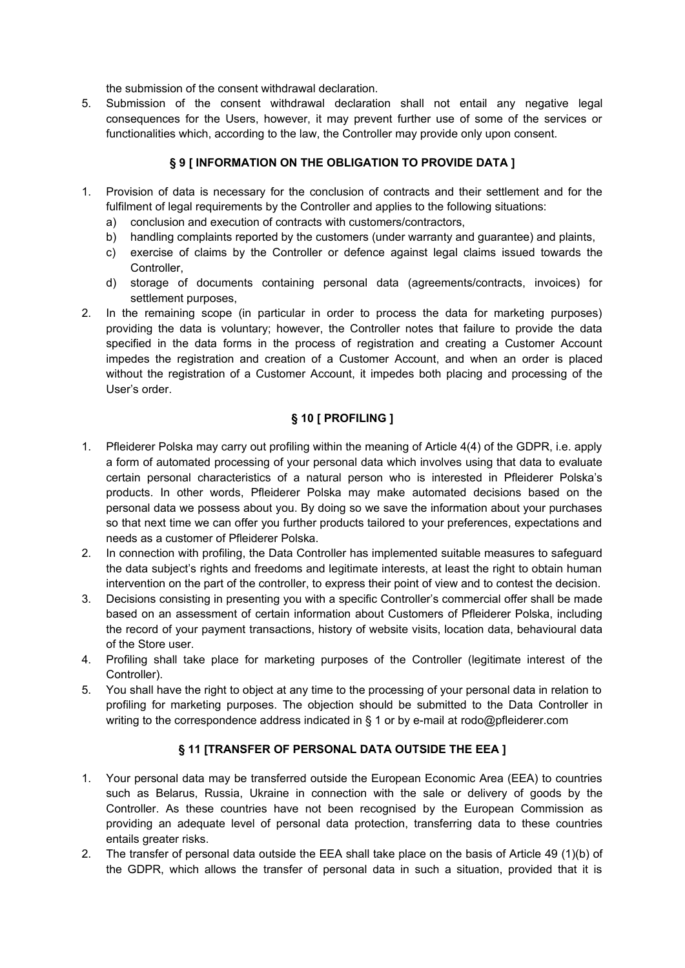the submission of the consent withdrawal declaration.

5. Submission of the consent withdrawal declaration shall not entail any negative legal consequences for the Users, however, it may prevent further use of some of the services or functionalities which, according to the law, the Controller may provide only upon consent.

## **§ 9 [ INFORMATION ON THE OBLIGATION TO PROVIDE DATA ]**

- 1. Provision of data is necessary for the conclusion of contracts and their settlement and for the fulfilment of legal requirements by the Controller and applies to the following situations:
	- a) conclusion and execution of contracts with customers/contractors,
	- b) handling complaints reported by the customers (under warranty and guarantee) and plaints,
	- c) exercise of claims by the Controller or defence against legal claims issued towards the Controller,
	- d) storage of documents containing personal data (agreements/contracts, invoices) for settlement purposes,
- 2. In the remaining scope (in particular in order to process the data for marketing purposes) providing the data is voluntary; however, the Controller notes that failure to provide the data specified in the data forms in the process of registration and creating a Customer Account impedes the registration and creation of a Customer Account, and when an order is placed without the registration of a Customer Account, it impedes both placing and processing of the User's order.

## **§ 10 [ PROFILING ]**

- 1. Pfleiderer Polska may carry out profiling within the meaning of Article 4(4) of the GDPR, i.e. apply a form of automated processing of your personal data which involves using that data to evaluate certain personal characteristics of a natural person who is interested in Pfleiderer Polska's products. In other words, Pfleiderer Polska may make automated decisions based on the personal data we possess about you. By doing so we save the information about your purchases so that next time we can offer you further products tailored to your preferences, expectations and needs as a customer of Pfleiderer Polska.
- 2. In connection with profiling, the Data Controller has implemented suitable measures to safeguard the data subject's rights and freedoms and legitimate interests, at least the right to obtain human intervention on the part of the controller, to express their point of view and to contest the decision.
- 3. Decisions consisting in presenting you with a specific Controller's commercial offer shall be made based on an assessment of certain information about Customers of Pfleiderer Polska, including the record of your payment transactions, history of website visits, location data, behavioural data of the Store user.
- 4. Profiling shall take place for marketing purposes of the Controller (legitimate interest of the Controller).
- 5. You shall have the right to object at any time to the processing of your personal data in relation to profiling for marketing purposes. The objection should be submitted to the Data Controller in writing to the correspondence address indicated in § 1 or by e-mail at rodo@pfleiderer.com

### **§ 11 [TRANSFER OF PERSONAL DATA OUTSIDE THE EEA ]**

- 1. Your personal data may be transferred outside the European Economic Area (EEA) to countries such as Belarus, Russia, Ukraine in connection with the sale or delivery of goods by the Controller. As these countries have not been recognised by the European Commission as providing an adequate level of personal data protection, transferring data to these countries entails greater risks.
- 2. The transfer of personal data outside the EEA shall take place on the basis of Article 49 (1)(b) of the GDPR, which allows the transfer of personal data in such a situation, provided that it is